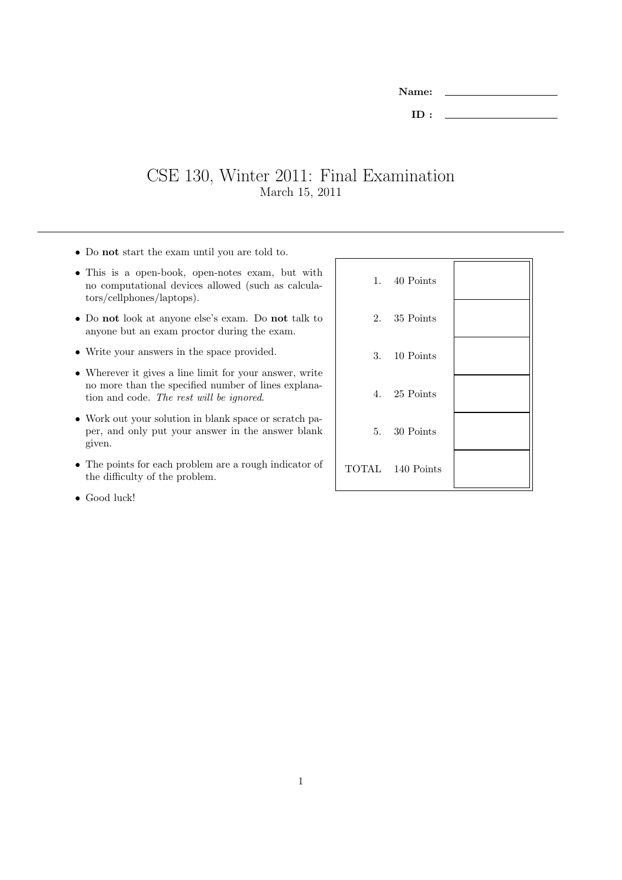| <b>Name:</b> |  |
|--------------|--|
| ID:          |  |

## CSE 130, Winter 2011: Final Examination March 15, 2011

- Do not start the exam until you are told to.
- This is a open-book, open-notes exam, but with no computational devices allowed (such as calculators/cellphones/laptops).
- Do not look at anyone else's exam. Do not talk to anyone but an exam proctor during the exam.
- Write your answers in the space provided.
- Wherever it gives a line limit for your answer, write no more than the specified number of lines explanation and code. The rest will be ignored.
- Work out your solution in blank space or scratch paper, and only put your answer in the answer blank given.
- The points for each problem are a rough indicator of the difficulty of the problem.
- Good luck!

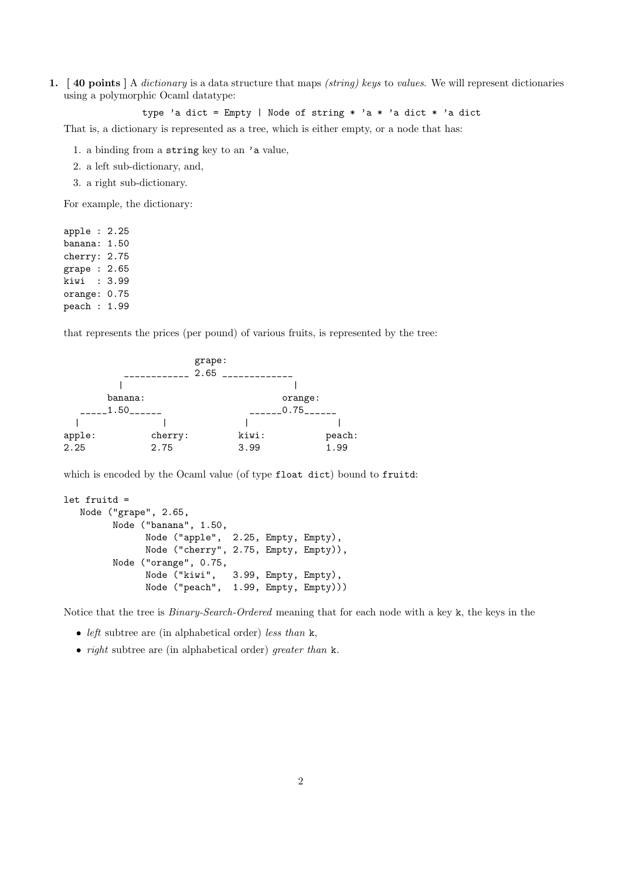1. [40 points ] A dictionary is a data structure that maps (string) keys to values. We will represent dictionaries using a polymorphic Ocaml datatype:

```
type 'a dict = Empty | Node of string * 'a * 'a dict * 'a dict
```
That is, a dictionary is represented as a tree, which is either empty, or a node that has:

- 1. a binding from a string key to an 'a value,
- 2. a left sub-dictionary, and,
- 3. a right sub-dictionary.

For example, the dictionary:

apple : 2.25 banana: 1.50 cherry: 2.75 grape : 2.65 kiwi : 3.99 orange: 0.75 peach : 1.99

that represents the prices (per pound) of various fruits, is represented by the tree:

|         | grape:<br>2.65  |       |         |                        |
|---------|-----------------|-------|---------|------------------------|
|         |                 |       |         |                        |
| banana: |                 |       | orange: |                        |
| 1.50    |                 |       |         |                        |
|         |                 |       |         |                        |
|         |                 | kiwi: |         | peach:                 |
|         |                 | 3.99  |         | 1.99                   |
|         | cherry:<br>2.75 |       |         | $-0.75$ <sub>---</sub> |

which is encoded by the Ocaml value (of type float dict) bound to fruitd:

```
let fruitd =
  Node ("grape", 2.65,
        Node ("banana", 1.50,
              Node ("apple", 2.25, Empty, Empty),
              Node ("cherry", 2.75, Empty, Empty)),
         Node ("orange", 0.75,
              Node ("kiwi", 3.99, Empty, Empty),
              Node ("peach", 1.99, Empty, Empty)))
```
Notice that the tree is Binary-Search-Ordered meaning that for each node with a key k, the keys in the

- left subtree are (in alphabetical order) less than  $k$ ,
- *right* subtree are (in alphabetical order) *greater than* k.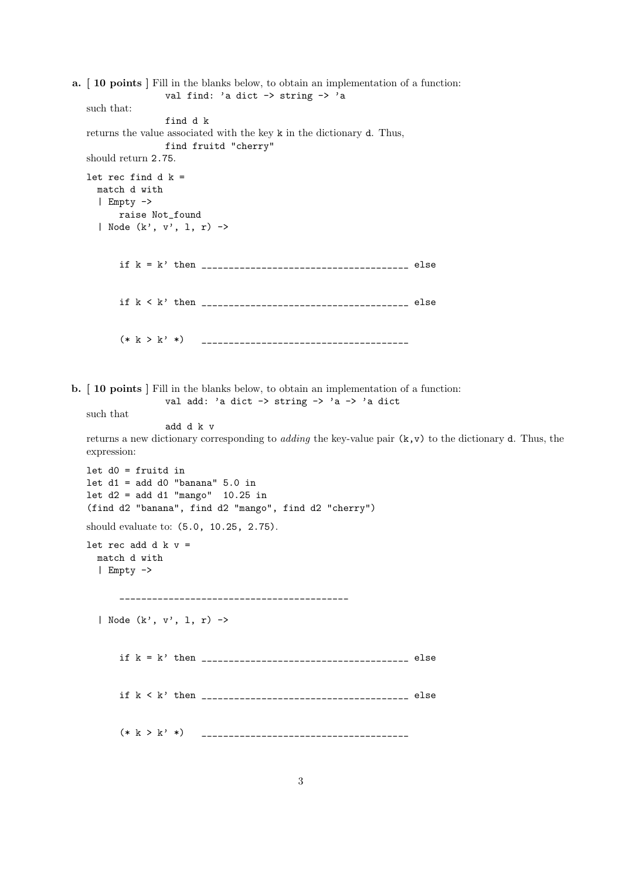a. [ 10 points ] Fill in the blanks below, to obtain an implementation of a function: val find: 'a dict -> string -> 'a such that: find d k returns the value associated with the key k in the dictionary d. Thus, find fruitd "cherry" should return 2.75. let rec find d  $k =$ match d with | Empty -> raise Not\_found | Node (k', v', l, r) -> if k = k' then \_\_\_\_\_\_\_\_\_\_\_\_\_\_\_\_\_\_\_\_\_\_\_\_\_\_\_\_\_\_\_\_\_\_\_\_\_\_ else if k < k' then \_\_\_\_\_\_\_\_\_\_\_\_\_\_\_\_\_\_\_\_\_\_\_\_\_\_\_\_\_\_\_\_\_\_\_\_\_\_ else (\* k > k' \*) \_\_\_\_\_\_\_\_\_\_\_\_\_\_\_\_\_\_\_\_\_\_\_\_\_\_\_\_\_\_\_\_\_\_\_\_\_\_ b. [ 10 points ] Fill in the blanks below, to obtain an implementation of a function: val add: 'a dict -> string -> 'a -> 'a dict such that add d k v returns a new dictionary corresponding to *adding* the key-value pair  $(k, v)$  to the dictionary d. Thus, the expression: let d0 = fruitd in let  $d1 = add d0$  "banana"  $5.0$  in let  $d2 = add d1$  "mango"  $10.25$  in (find d2 "banana", find d2 "mango", find d2 "cherry") should evaluate to: (5.0, 10.25, 2.75). let rec add d  $k$  v = match d with | Empty -> \_\_\_\_\_\_\_\_\_\_\_\_\_\_\_\_\_\_\_\_\_\_\_\_\_\_\_\_\_\_\_\_\_\_\_\_\_\_\_\_\_\_ | Node (k', v', l, r) -> if k = k' then \_\_\_\_\_\_\_\_\_\_\_\_\_\_\_\_\_\_\_\_\_\_\_\_\_\_\_\_\_\_\_\_\_\_\_\_\_\_ else if k < k' then \_\_\_\_\_\_\_\_\_\_\_\_\_\_\_\_\_\_\_\_\_\_\_\_\_\_\_\_\_\_\_\_\_\_\_\_\_\_ else (\* k > k' \*) \_\_\_\_\_\_\_\_\_\_\_\_\_\_\_\_\_\_\_\_\_\_\_\_\_\_\_\_\_\_\_\_\_\_\_\_\_\_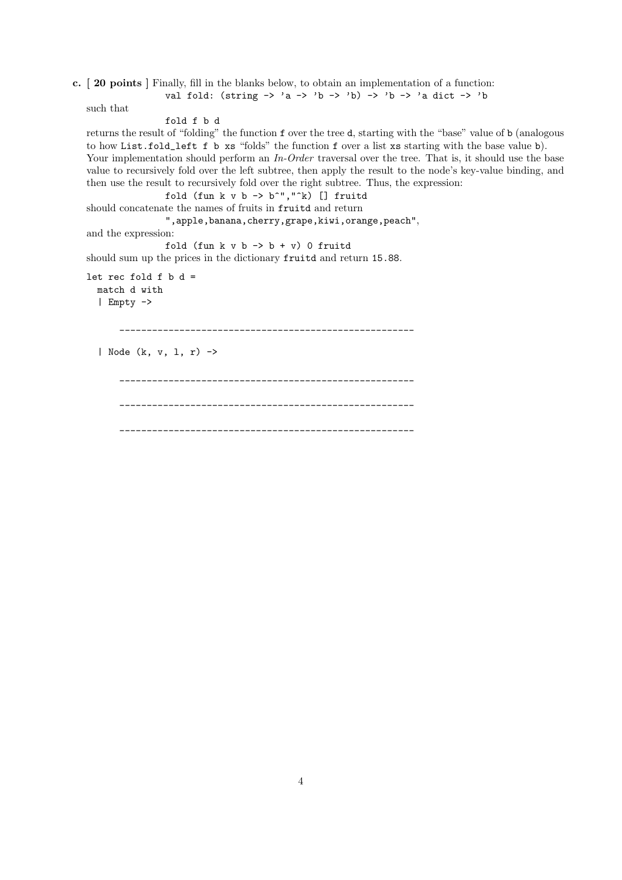c. [ 20 points ] Finally, fill in the blanks below, to obtain an implementation of a function: val fold: (string  $\rightarrow$  'a  $\rightarrow$  'b  $\rightarrow$  'b)  $\rightarrow$  'b  $\rightarrow$  'a dict  $\rightarrow$  'b

such that

```
fold f b d
```
returns the result of "folding" the function f over the tree d, starting with the "base" value of b (analogous to how List.fold\_left f b xs "folds" the function f over a list xs starting with the base value b). Your implementation should perform an In-Order traversal over the tree. That is, it should use the base value to recursively fold over the left subtree, then apply the result to the node's key-value binding, and then use the result to recursively fold over the right subtree. Thus, the expression:

fold (fun k v b  $\rightarrow$  b^","^k) [] fruitd should concatenate the names of fruits in fruitd and return

",apple,banana,cherry,grape,kiwi,orange,peach",

and the expression:

fold (fun  $k \vee b \rightarrow b + \vee b$ ) 0 fruitd

should sum up the prices in the dictionary fruitd and return 15.88.

```
let rec fold f b d =
 match d with
  | Empty ->
```
\_\_\_\_\_\_\_\_\_\_\_\_\_\_\_\_\_\_\_\_\_\_\_\_\_\_\_\_\_\_\_\_\_\_\_\_\_\_\_\_\_\_\_\_\_\_\_\_\_\_\_\_\_\_

```
| Node (k, v, l, r) ->
```

```
______________________________________________________
     ______________________________________________________
  ______________________________________________________
```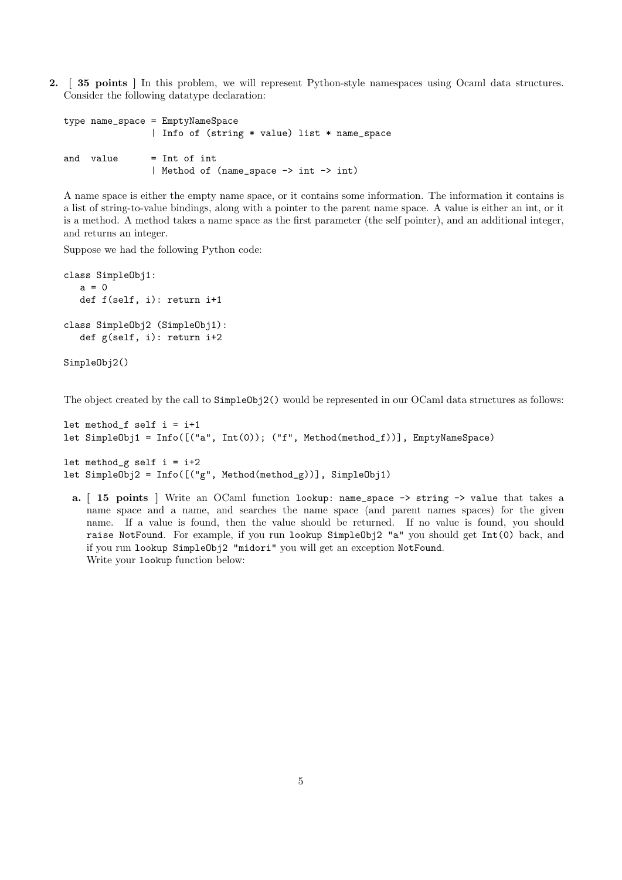2. [ 35 points ] In this problem, we will represent Python-style namespaces using Ocaml data structures. Consider the following datatype declaration:

```
type name_space = EmptyNameSpace
               | Info of (string * value) list * name_space
and value = Int of int
               | Method of (name_space -> int -> int)
```
A name space is either the empty name space, or it contains some information. The information it contains is a list of string-to-value bindings, along with a pointer to the parent name space. A value is either an int, or it is a method. A method takes a name space as the first parameter (the self pointer), and an additional integer, and returns an integer.

Suppose we had the following Python code:

```
class SimpleObj1:
  a = 0def f(self, i): return i+1
class SimpleObj2 (SimpleObj1):
  def g(self, i): return i+2
```
SimpleObj2()

The object created by the call to  $SimpleObi2()$  would be represented in our OCaml data structures as follows:

```
let method_f self i = i+1let SimpleObj1 = Info([("a", Int(0)); ("f", Method(method_f))], EmptyNameSpace)
let method_g self i = i+2
```

```
let SimpleObj2 = Info([("g", Method(method_g))], SimpleObj1)
```
a. [ 15 points ] Write an OCaml function lookup: name\_space -> string -> value that takes a name space and a name, and searches the name space (and parent names spaces) for the given name. If a value is found, then the value should be returned. If no value is found, you should raise NotFound. For example, if you run lookup SimpleObj2 "a" you should get Int(0) back, and if you run lookup SimpleObj2 "midori" you will get an exception NotFound. Write your lookup function below: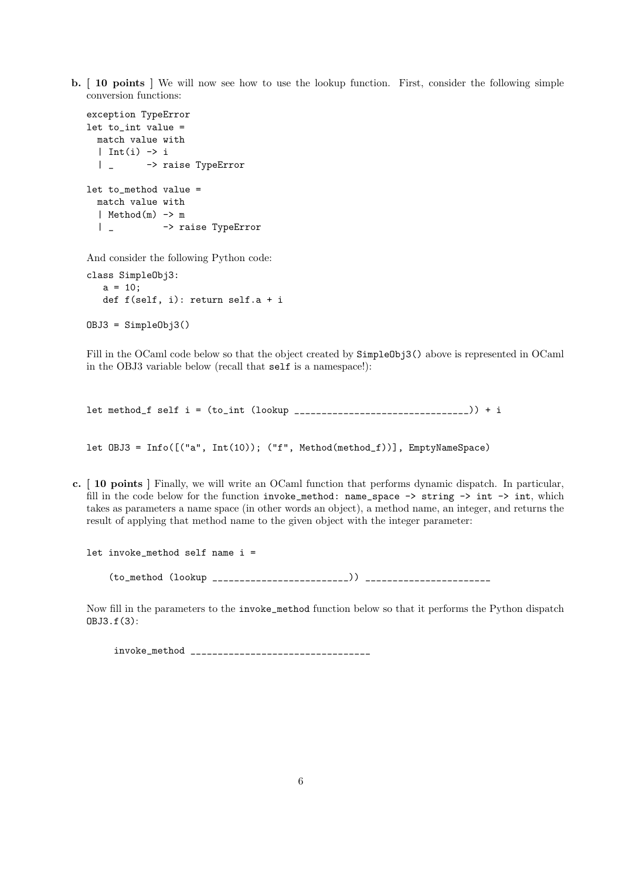b. [ 10 points ] We will now see how to use the lookup function. First, consider the following simple conversion functions:

```
exception TypeError
let to_int value =
  match value with
  | Int(i) \rightarrow i| _ -> raise TypeError
let to_method value =
  match value with
  | Method(m) -> m
  | _ -> raise TypeError
And consider the following Python code:
```
class SimpleObj3:  $a = 10;$ def f(self, i): return self.a + i OBJ3 = SimpleObj3()

Fill in the OCaml code below so that the object created by  $SimpleObj3()$  above is represented in OCaml in the OBJ3 variable below (recall that self is a namespace!):

 $let method_f self = (to_f int (lookup _{_________1}__...__...__...__)) + i$ 

let OBJ3 = Info([("a", Int(10)); ("f", Method(method\_f))], EmptyNameSpace)

c. [ 10 points ] Finally, we will write an OCaml function that performs dynamic dispatch. In particular, fill in the code below for the function invoke\_method: name\_space  $\rightarrow$  string  $\rightarrow$  int  $\rightarrow$  int, which takes as parameters a name space (in other words an object), a method name, an integer, and returns the result of applying that method name to the given object with the integer parameter:

let invoke\_method self name i =

(to\_method (lookup \_\_\_\_\_\_\_\_\_\_\_\_\_\_\_\_\_\_\_\_\_\_\_\_\_)) \_\_\_\_\_\_\_\_\_\_\_\_\_\_\_\_\_\_\_\_\_\_\_

Now fill in the parameters to the invoke\_method function below so that it performs the Python dispatch OBJ3.f(3):

invoke\_method \_\_\_\_\_\_\_\_\_\_\_\_\_\_\_\_\_\_\_\_\_\_\_\_\_\_\_\_\_\_\_\_\_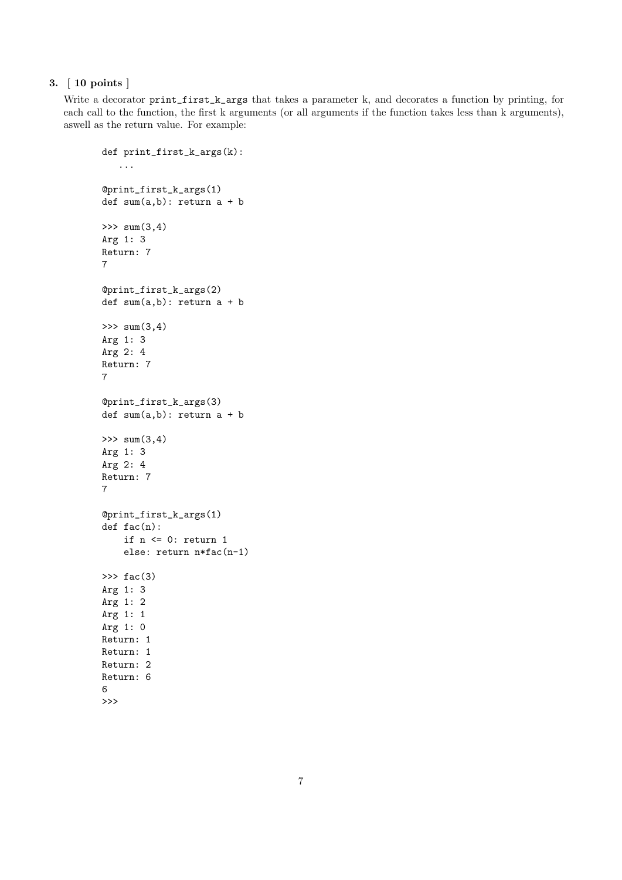## 3. [ 10 points ]

Write a decorator print\_first\_k\_args that takes a parameter k, and decorates a function by printing, for each call to the function, the first k arguments (or all arguments if the function takes less than k arguments), aswell as the return value. For example:

```
def print_first_k_args(k):
   ...
@print_first_k_args(1)
def sum(a,b): return a + b
\gg sum(3, 4)Arg 1: 3
Return: 7
7
@print_first_k_args(2)
def sum(a,b): return a + b
\gg sum(3, 4)Arg 1: 3
Arg 2: 4
Return: 7
7
@print_first_k_args(3)
def sum(a,b): return a + b
\gg sum(3, 4)Arg 1: 3
Arg 2: 4
Return: 7
7
@print_first_k_args(1)
def fac(n):
    if n <= 0: return 1
    else: return n*fac(n-1)
\gg fac(3)
Arg 1: 3
Arg 1: 2
Arg 1: 1
Arg 1: 0
Return: 1
Return: 1
Return: 2
Return: 6
6
>>>
```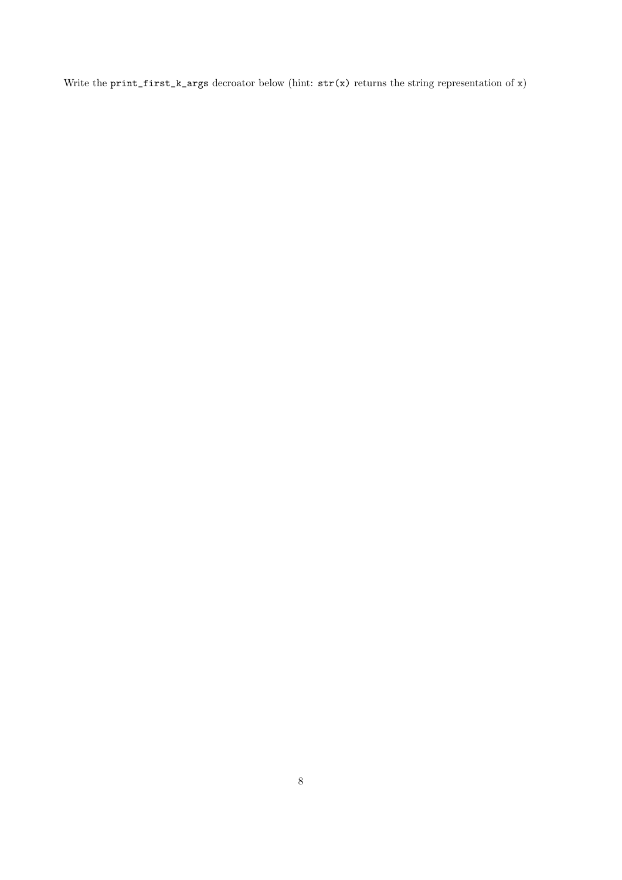Write the print\_first\_k\_args decroator below (hint:  $str(x)$  returns the string representation of x)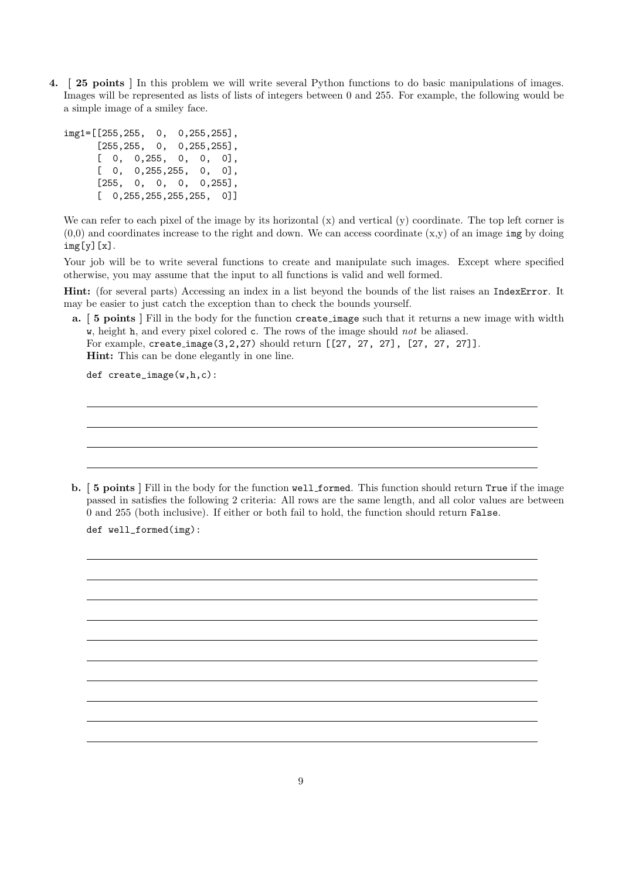4. [ 25 points ] In this problem we will write several Python functions to do basic manipulations of images. Images will be represented as lists of lists of integers between 0 and 255. For example, the following would be a simple image of a smiley face.

```
img1=[[255,255, 0, 0,255,255],
     [255, 255, 0, 0, 255, 255][ 0, 0,255, 0, 0, 0],
     [ 0, 0,255,255, 0, 0],
     [255, 0, 0, 0, 0, 255][0, 255, 255, 255, 255, 0]
```
We can refer to each pixel of the image by its horizontal  $(x)$  and vertical  $(y)$  coordinate. The top left corner is  $(0,0)$  and coordinates increase to the right and down. We can access coordinate  $(x,y)$  of an image img by doing  $img[y][x].$ 

Your job will be to write several functions to create and manipulate such images. Except where specified otherwise, you may assume that the input to all functions is valid and well formed.

Hint: (for several parts) Accessing an index in a list beyond the bounds of the list raises an IndexError. It may be easier to just catch the exception than to check the bounds yourself.

a. [ 5 points ] Fill in the body for the function create image such that it returns a new image with width w, height h, and every pixel colored c. The rows of the image should not be aliased.

For example, create image(3,2,27) should return [[27, 27, 27], [27, 27, 27]]. Hint: This can be done elegantly in one line.

def create\_image(w,h,c):

b. [ 5 points ] Fill in the body for the function well formed. This function should return True if the image passed in satisfies the following 2 criteria: All rows are the same length, and all color values are between 0 and 255 (both inclusive). If either or both fail to hold, the function should return False.

def well\_formed(img):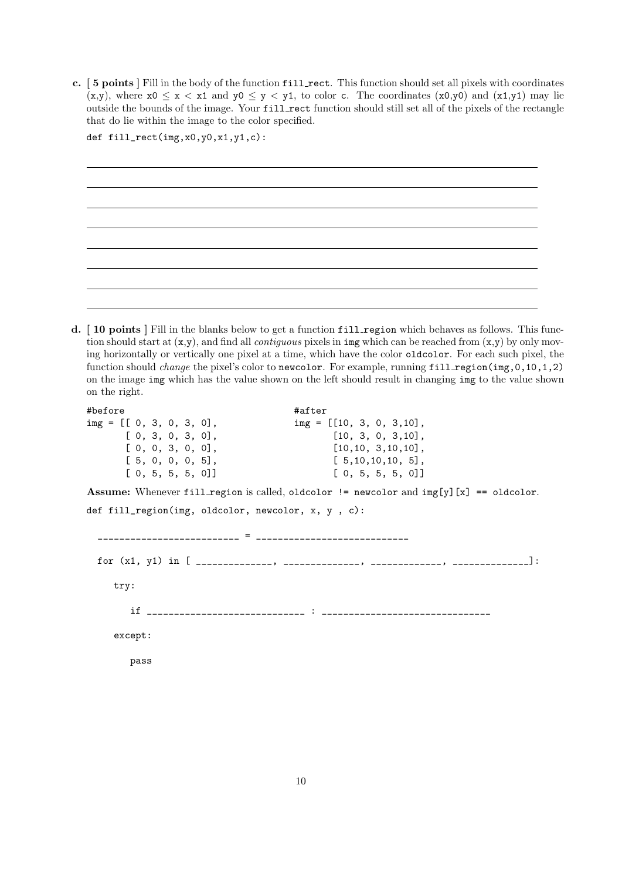c. [ 5 points ] Fill in the body of the function fill rect. This function should set all pixels with coordinates  $(x,y)$ , where  $x0 \le x \le x1$  and  $y0 \le y \le y1$ , to color c. The coordinates  $(x0,y0)$  and  $(x1,y1)$  may lie outside the bounds of the image. Your fill rect function should still set all of the pixels of the rectangle that do lie within the image to the color specified.

| def $fill\_rect(img, x0, y0, x1, y1, c)$ : |  |  |  |  |
|--------------------------------------------|--|--|--|--|
|                                            |  |  |  |  |
|                                            |  |  |  |  |
|                                            |  |  |  |  |
|                                            |  |  |  |  |
|                                            |  |  |  |  |
|                                            |  |  |  |  |
|                                            |  |  |  |  |
|                                            |  |  |  |  |
|                                            |  |  |  |  |
|                                            |  |  |  |  |
|                                            |  |  |  |  |

d. [ 10 points ] Fill in the blanks below to get a function fill region which behaves as follows. This function should start at  $(x,y)$ , and find all *contiguous* pixels in img which can be reached from  $(x,y)$  by only moving horizontally or vertically one pixel at a time, which have the color oldcolor. For each such pixel, the function should *change* the pixel's color to newcolor. For example, running  $fill$  region( $img, 0, 10, 1, 2)$ ) on the image img which has the value shown on the left should result in changing img to the value shown on the right.

```
#before #after
img = [[ 0, 3, 0, 3, 0], img = [[10, 3, 0, 3,10],
     [0, 3, 0, 3, 0], [10, 3, 0, 3, 10],[0, 0, 3, 0, 0], [10, 10, 3, 10, 10],[ 5, 0, 0, 0, 5], [ 5, 10, 10, 10, 5],
      [ 0, 5, 5, 5, 0]] [ 0, 5, 5, 5, 0]]
Assume: Whenever fill region is called, oldcolor != newcolor and img[y][x] == oldcolor.
def fill_region(img, oldcolor, newcolor, x, y , c):
        __________________________ = ____________________________
 for (x1, y1) in [ ______________, ______________, _____________, ______________]:
    try:
      if _____________________________ : _______________________________
    except:
      pass
```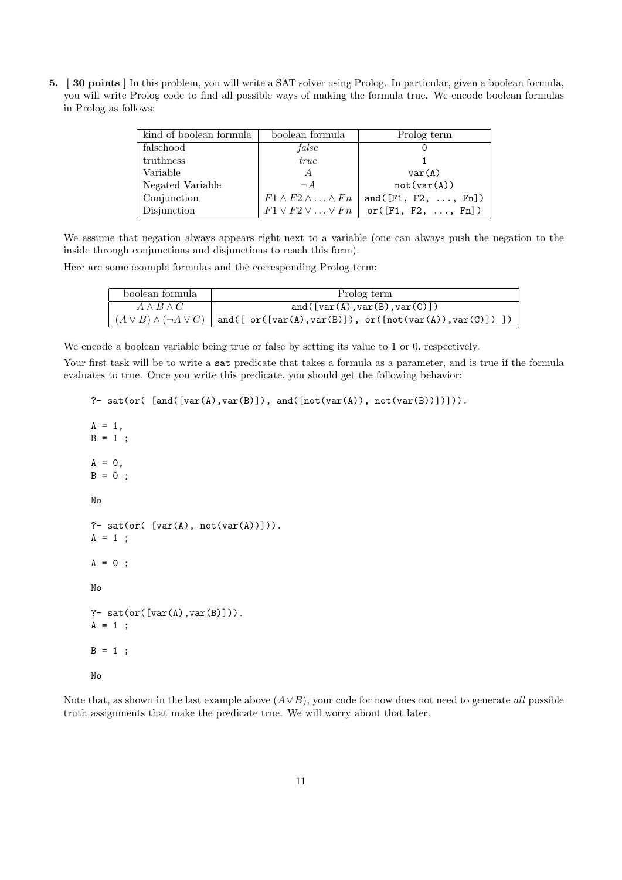5. [ 30 points ] In this problem, you will write a SAT solver using Prolog. In particular, given a boolean formula, you will write Prolog code to find all possible ways of making the formula true. We encode boolean formulas in Prolog as follows:

| kind of boolean formula | boolean formula                        | Prolog term                                                           |
|-------------------------|----------------------------------------|-----------------------------------------------------------------------|
| falsehood               | false                                  |                                                                       |
| truthness               | true                                   |                                                                       |
| Variable                | A                                      | var(A)                                                                |
| Negated Variable        | $\neg A$                               | not(var(A))                                                           |
| Conjunction             | $F1 \wedge F2 \wedge \ldots \wedge Fn$ | and $(F1, F2, \ldots, Fn])$                                           |
| Disjunction             |                                        | $F1 \vee F2 \vee \ldots \vee Fn \mid \text{or}([F1, F2, \ldots, Fn])$ |

We assume that negation always appears right next to a variable (one can always push the negation to the inside through conjunctions and disjunctions to reach this form).

Here are some example formulas and the corresponding Prolog term:

| boolean formula       | Prolog term                                                                                     |  |  |
|-----------------------|-------------------------------------------------------------------------------------------------|--|--|
| $A \wedge B \wedge C$ | and( $[var(A),var(B),var(C)]$ )                                                                 |  |  |
|                       | $(A \vee B) \wedge (\neg A \vee C)$ and ([ or ([var(A), var(B)]), or ([not(var(A)), var(C)]) ]) |  |  |

We encode a boolean variable being true or false by setting its value to 1 or 0, respectively.

Your first task will be to write a sat predicate that takes a formula as a parameter, and is true if the formula evaluates to true. Once you write this predicate, you should get the following behavior:

?- sat(or(  $[and([var(A),var(B)]), and([not(var(A)), not(var(B)))]$ )).

```
A = 1,
B = 1;
A = 0,B = 0;No
?- sat(or([var(A), not(var(A)))]).A = 1;A = 0;No
?- sat(or([var(A),var(B)])).
A = 1;B = 1;
No
```
Note that, as shown in the last example above  $(A \vee B)$ , your code for now does not need to generate all possible truth assignments that make the predicate true. We will worry about that later.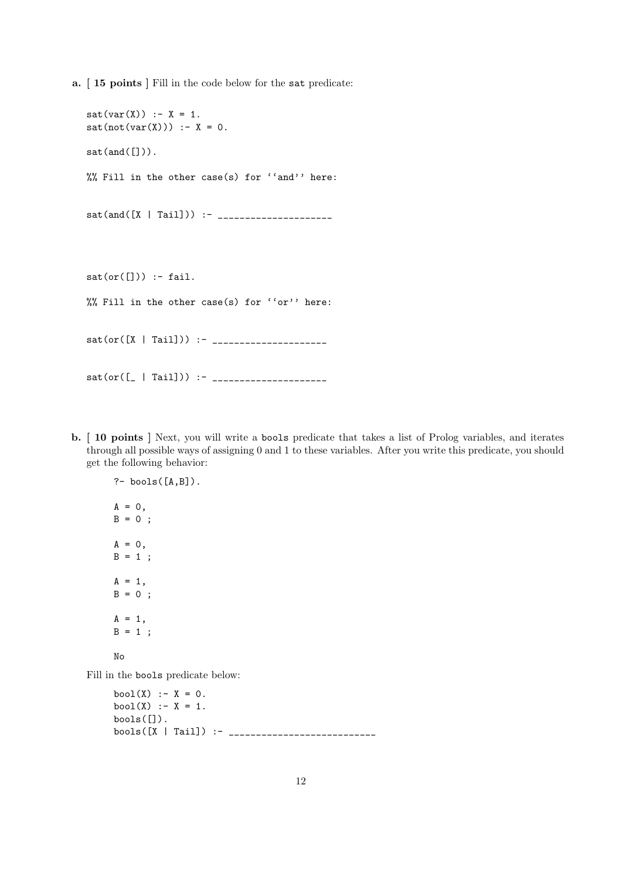a. [ 15 points ] Fill in the code below for the sat predicate:

```
sat(var(X)) :- X = 1.
sat(not(var(X))) : - X = 0.sat(and([])).
%% Fill in the other case(s) for ''and'' here:
sat(and([X | Tail])) :- _____________________
sat(or([])) :- fail.
%% Fill in the other case(s) for ''or'' here:
sat(or([X | Tail])) :- _____________________
sat(or([_ | Tail])) :- _____________________
```
b. [ 10 points ] Next, you will write a bools predicate that takes a list of Prolog variables, and iterates through all possible ways of assigning 0 and 1 to these variables. After you write this predicate, you should get the following behavior:

```
?- bools([A, B]).
A = 0,B = 0;A = 0,B = 1;
A = 1,
B = 0;
A = 1,
B = 1;
```

```
No
```
Fill in the bools predicate below:

```
bool(X) :- X = 0.
bool(X) :- X = 1.
bools([]).
bools([X | Tail]) :- ___________________________
```